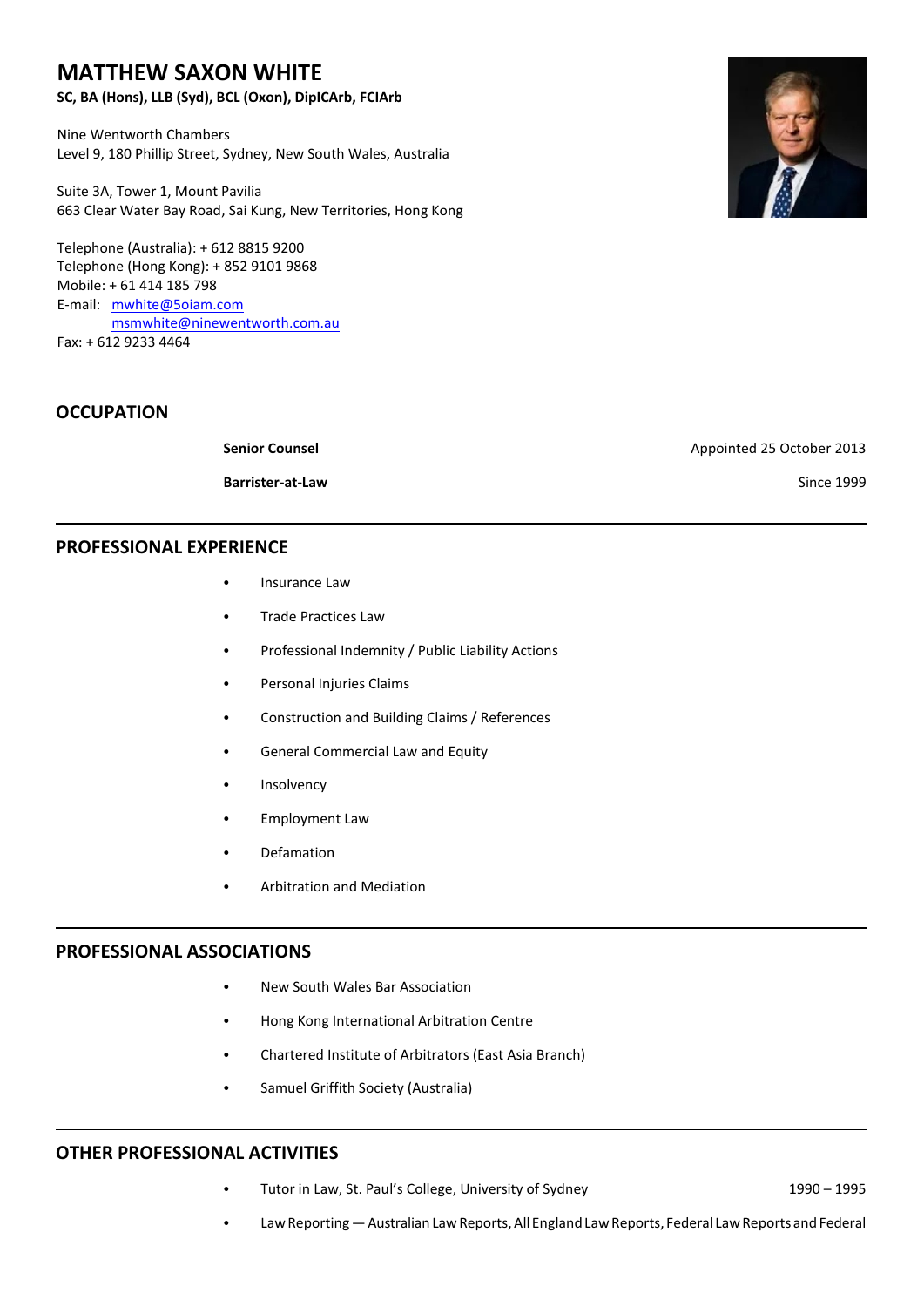# **MATTHEW SAXON WHITE**

**SC, BA (Hons), LLB (Syd), BCL (Oxon), DipICArb, FCIArb**

Nine Wentworth Chambers Level 9, 180 Phillip Street, Sydney, New South Wales, Australia

Suite 3A, Tower 1, Mount Pavilia 663 Clear Water Bay Road, Sai Kung, New Territories, Hong Kong

Telephone (Australia): + 612 8815 9200 Telephone (Hong Kong): + 852 9101 9868 Mobile: + 61 414 185 798 E-mail: [mwhite@5oiam.com](mailto:mleung@5oiam.com) [msmwhite@ninewentworth.com.au](mailto:mleung@5oiam.com) Fax: + 612 9233 4464

#### **OCCUPATION**

**Barrister-at-Law** Since 1999

#### **Senior Counsel Appointed 25 October 2013**

#### **PROFESSIONAL EXPERIENCE**

- Insurance Law
- **Trade Practices Law**
- Professional Indemnity / Public Liability Actions
- Personal Injuries Claims
- Construction and Building Claims / References
- General Commercial Law and Equity
- Insolvency
- Employment Law
- **Defamation**
- **Arbitration and Mediation**

#### **PROFESSIONAL ASSOCIATIONS**

- New South Wales Bar Association
- Hong Kong International Arbitration Centre
- Chartered Institute of Arbitrators (East Asia Branch)
- Samuel Griffith Society (Australia)

#### **OTHER PROFESSIONAL ACTIVITIES**

Tutor in Law, St. Paul's College, University of Sydney 1994 1990 – 1995

Law Reporting - Australian Law Reports, All England Law Reports, Federal Law Reports and Federal

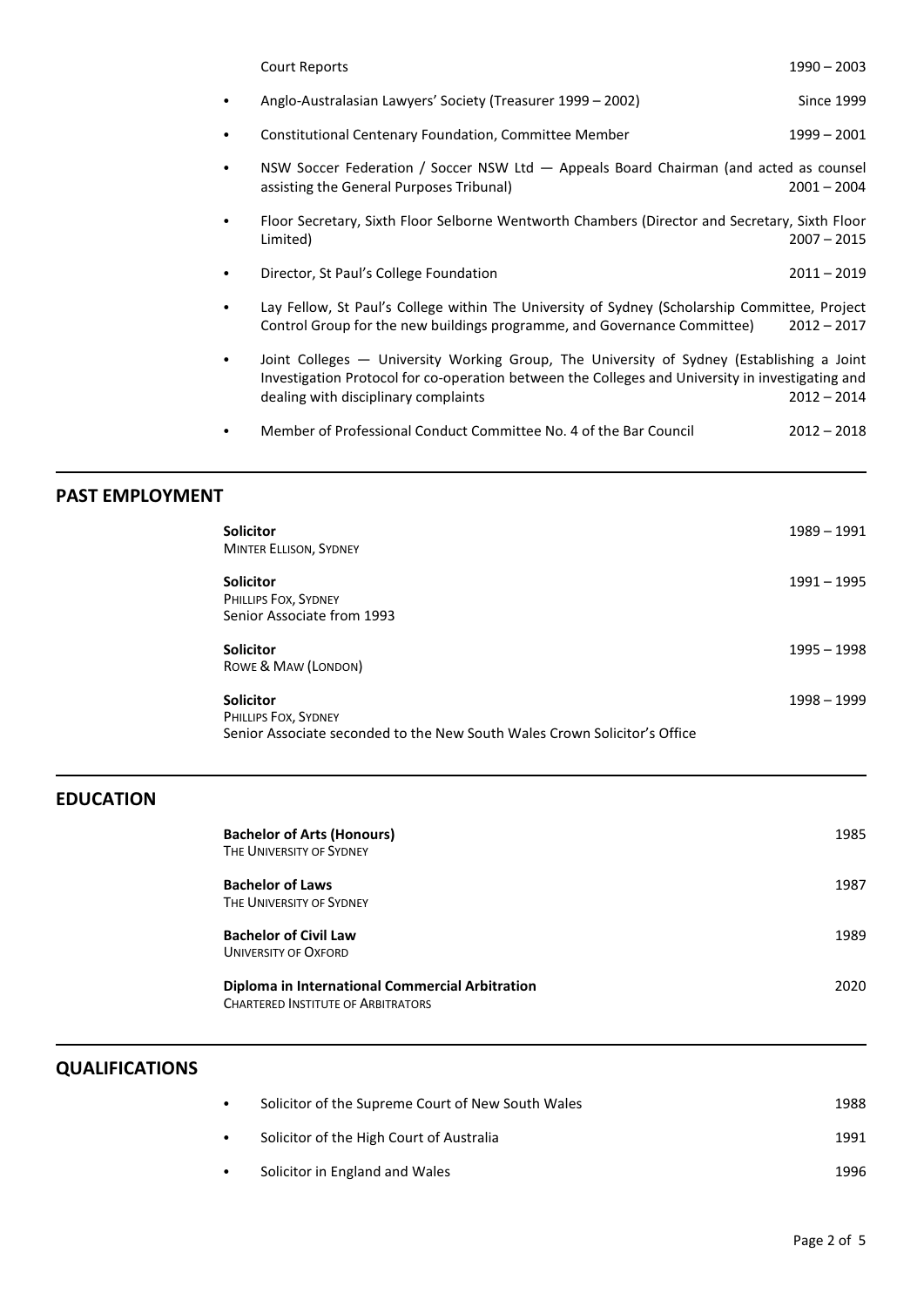|   | <b>Court Reports</b>                                                                                                                                                                                                                  | $1990 - 2003$ |
|---|---------------------------------------------------------------------------------------------------------------------------------------------------------------------------------------------------------------------------------------|---------------|
|   | Anglo-Australasian Lawyers' Society (Treasurer 1999 – 2002)                                                                                                                                                                           | Since 1999    |
|   | <b>Constitutional Centenary Foundation, Committee Member</b>                                                                                                                                                                          | $1999 - 2001$ |
| ٠ | NSW Soccer Federation / Soccer NSW Ltd - Appeals Board Chairman (and acted as counsel<br>assisting the General Purposes Tribunal)                                                                                                     | $2001 - 2004$ |
| ٠ | Floor Secretary, Sixth Floor Selborne Wentworth Chambers (Director and Secretary, Sixth Floor<br>Limited)                                                                                                                             | $2007 - 2015$ |
|   | Director, St Paul's College Foundation                                                                                                                                                                                                | $2011 - 2019$ |
|   | Lay Fellow, St Paul's College within The University of Sydney (Scholarship Committee, Project<br>Control Group for the new buildings programme, and Governance Committee)                                                             | $2012 - 2017$ |
| ٠ | Joint Colleges — University Working Group, The University of Sydney (Establishing a Joint<br>Investigation Protocol for co-operation between the Colleges and University in investigating and<br>dealing with disciplinary complaints | $2012 - 2014$ |
|   | Member of Professional Conduct Committee No. 4 of the Bar Council                                                                                                                                                                     | $2012 - 2018$ |

#### **PAST EMPLOYMENT**

| <b>Solicitor</b><br><b>MINTER ELLISON, SYDNEY</b>                                                                     | $1989 - 1991$ |
|-----------------------------------------------------------------------------------------------------------------------|---------------|
| <b>Solicitor</b><br>PHILLIPS FOX, SYDNEY<br>Senior Associate from 1993                                                | 1991 – 1995   |
| <b>Solicitor</b><br>ROWE & MAW (LONDON)                                                                               | $1995 - 1998$ |
| <b>Solicitor</b><br>PHILLIPS FOX, SYDNEY<br>Senior Associate seconded to the New South Wales Crown Solicitor's Office | 1998 – 1999   |

## **EDUCATION**

| <b>Bachelor of Arts (Honours)</b>                                                            | 1985 |
|----------------------------------------------------------------------------------------------|------|
| THE UNIVERSITY OF SYDNEY                                                                     |      |
| <b>Bachelor of Laws</b>                                                                      | 1987 |
| THE UNIVERSITY OF SYDNEY                                                                     |      |
| <b>Bachelor of Civil Law</b>                                                                 | 1989 |
| UNIVERSITY OF OXFORD                                                                         |      |
| Diploma in International Commercial Arbitration<br><b>CHARTERED INSTITUTE OF ARBITRATORS</b> | 2020 |

### **QUALIFICATIONS**

| Solicitor of the Supreme Court of New South Wales | 1988 |
|---------------------------------------------------|------|
| Solicitor of the High Court of Australia          | 1991 |
| Solicitor in England and Wales                    | 1996 |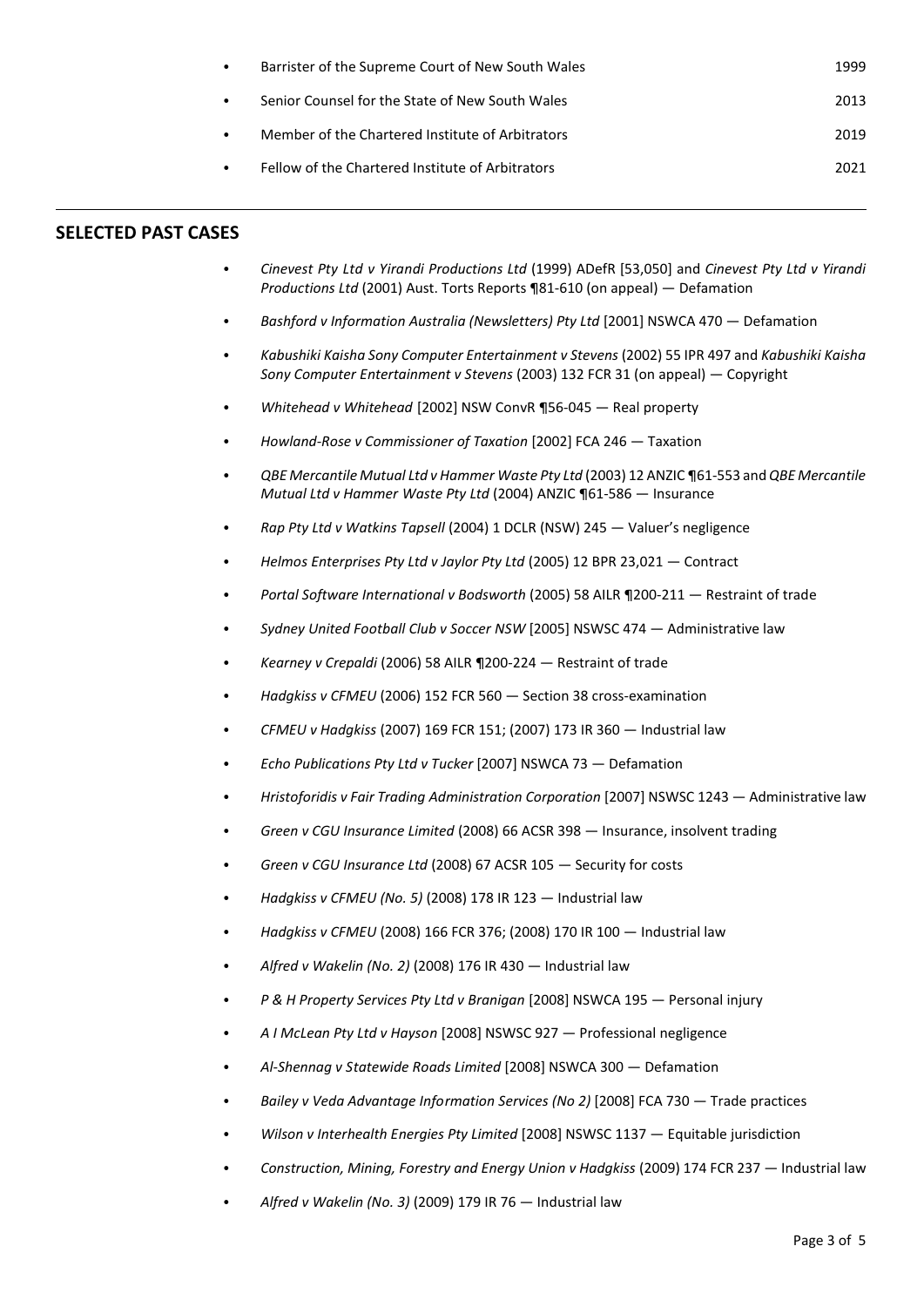| $\bullet$ | Barrister of the Supreme Court of New South Wales | 1999 |
|-----------|---------------------------------------------------|------|
| $\bullet$ | Senior Counsel for the State of New South Wales   | 2013 |
| $\bullet$ | Member of the Chartered Institute of Arbitrators  | 2019 |
| $\bullet$ | Fellow of the Chartered Institute of Arbitrators  | 2021 |
|           |                                                   |      |

### **SELECTED PAST CASES**

- C *Cinevest Pty Ltd v Yirandi Productions Ltd* (1999) ADefR [53,050] and *Cinevest Pty Ltd v Yirandi Productions Ltd* (2001) Aust. Torts Reports ¶81-610 (on appeal) — Defamation
- C *Bashford v Information Australia (Newsletters) Pty Ltd* [2001] NSWCA 470 Defamation
- C *Kabushiki Kaisha Sony Computer Entertainment v Stevens* (2002) 55 IPR 497 and *Kabushiki Kaisha Sony Computer Entertainment v Stevens* (2003) 132 FCR 31 (on appeal) — Copyright
- C *Whitehead v Whitehead* [2002] NSW ConvR ¶56-045 Real property
- C *Howland-Rose v Commissioner of Taxation* [2002] FCA 246 Taxation
- C *QBE Mercantile Mutual Ltd v Hammer Waste Pty Ltd* (2003) 12 ANZIC ¶61-553 and *QBE Mercantile Mutual Ltd v Hammer Waste Pty Ltd* (2004) ANZIC ¶61-586 — Insurance
- C *Rap Pty Ltd v Watkins Tapsell* (2004) 1 DCLR (NSW) 245 Valuer's negligence
- C *Helmos Enterprises Pty Ltd v Jaylor Pty Ltd* (2005) 12 BPR 23,021 Contract
- C *Portal Software International v Bodsworth* (2005) 58 AILR ¶200-211 Restraint of trade
- Sydney United Football Club v Soccer NSW [2005] NSWSC 474 Administrative law
- Kearney v Crepaldi (2006) 58 AILR 1200-224 Restraint of trade
- Hadgkiss v CFMEU (2006) 152 FCR 560 Section 38 cross-examination
- C *CFMEU v Hadgkiss* (2007) 169 FCR 151; (2007) 173 IR 360 Industrial law
- C *Echo Publications Pty Ltd v Tucker* [2007] NSWCA 73 Defamation
- C *Hristoforidis v Fair Trading Administration Corporation* [2007] NSWSC 1243 Administrative law
- Green v CGU Insurance Limited (2008) 66 ACSR 398 Insurance, insolvent trading
- Green v CGU Insurance Ltd (2008) 67 ACSR 105 Security for costs
- C *Hadgkiss v CFMEU (No. 5)* (2008) 178 IR 123 Industrial law
- C *Hadgkiss v CFMEU* (2008) 166 FCR 376; (2008) 170 IR 100 Industrial law
- C *Alfred v Wakelin (No. 2)* (2008) 176 IR 430 Industrial law
- C *P & H Property Services Pty Ltd v Branigan* [2008] NSWCA 195 Personal injury
- C *A I McLean Pty Ltd v Hayson* [2008] NSWSC 927 Professional negligence
- C *Al-Shennag v Statewide Roads Limited* [2008] NSWCA 300 Defamation
- C *Bailey v Veda Advantage Information Services (No 2)* [2008] FCA 730 Trade practices
- Wilson v Interhealth Energies Pty Limited [2008] NSWSC 1137 Equitable jurisdiction
- C *Construction, Mining, Forestry and Energy Union v Hadgkiss* (2009) 174 FCR 237 Industrial law
- C *Alfred v Wakelin (No. 3)* (2009) 179 IR 76 Industrial law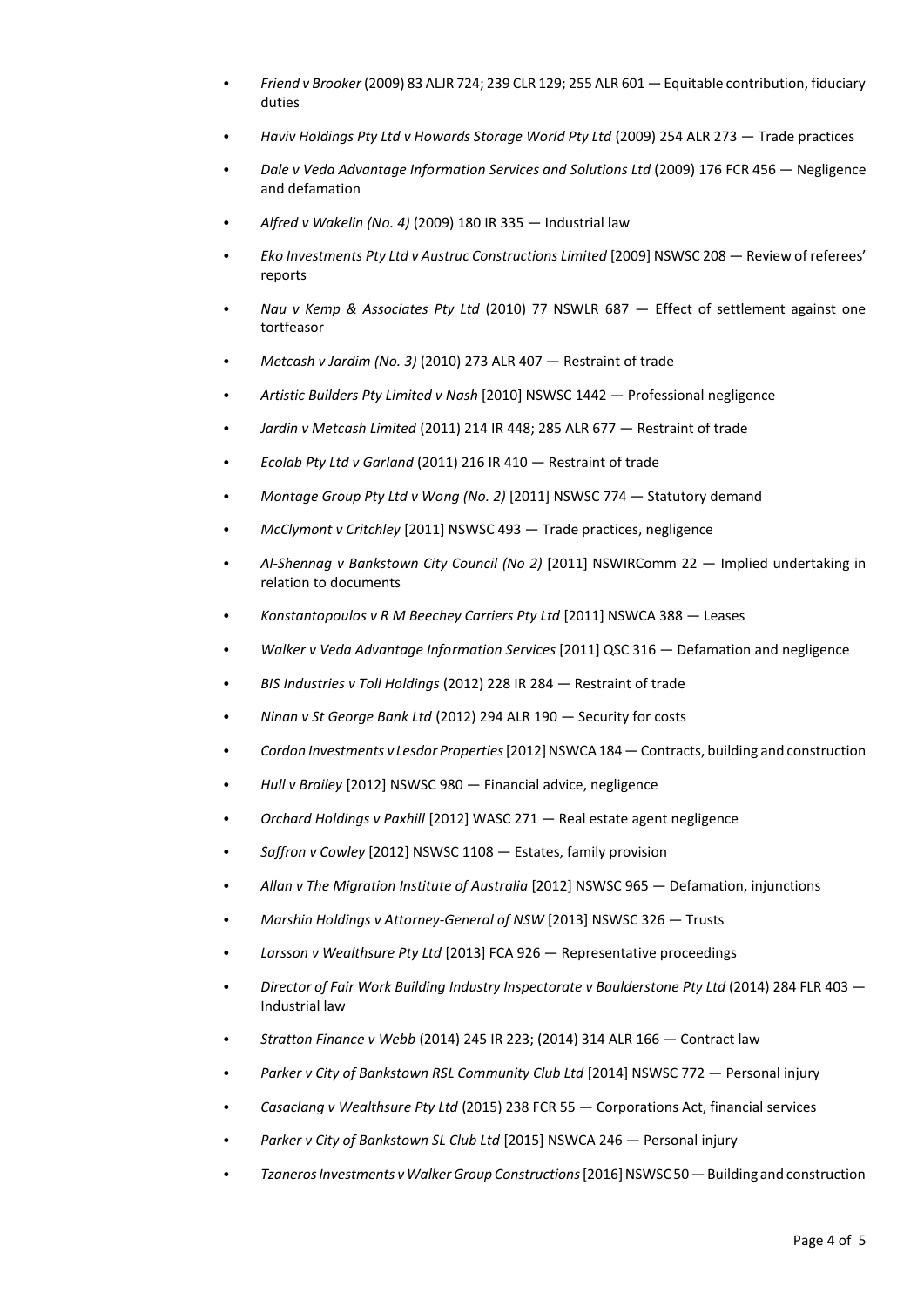- C *Friend v Brooker*(2009) 83 ALJR 724; 239 CLR 129; 255 ALR 601 Equitable contribution, fiduciary duties
- C *Haviv Holdings Pty Ltd v Howards Storage World Pty Ltd* (2009) 254 ALR 273 Trade practices
- C *Dale v Veda Advantage Information Services and Solutions Ltd* (2009) 176 FCR 456 Negligence and defamation
- C *Alfred v Wakelin (No. 4)* (2009) 180 IR 335 Industrial law
- C *Eko Investments Pty Ltd v Austruc Constructions Limited* [2009] NSWSC 208 Review of referees' reports
- C *Nau v Kemp & Associates Pty Ltd* (2010) 77 NSWLR 687 Effect of settlement against one tortfeasor
- C *Metcash v Jardim (No. 3)* (2010) 273 ALR 407 Restraint of trade
- C *Artistic Builders Pty Limited v Nash* [2010] NSWSC 1442 Professional negligence
- Jardin v Metcash Limited (2011) 214 IR 448; 285 ALR 677 Restraint of trade
- C *Ecolab Pty Ltd v Garland* (2011) 216 IR 410 Restraint of trade
- C *Montage Group Pty Ltd v Wong (No. 2)* [2011] NSWSC 774 Statutory demand
- C *McClymont v Critchley* [2011] NSWSC 493 Trade practices, negligence
- C *Al-Shennag v Bankstown City Council (No 2)* [2011] NSWIRComm 22 Implied undertaking in relation to documents
- Konstantopoulos v R M Beechey Carriers Pty Ltd [2011] NSWCA 388 Leases
- C *Walker v Veda Advantage Information Services* [2011] QSC 316 Defamation and negligence
- C *BIS Industries v Toll Holdings* (2012) 228 IR 284 Restraint of trade
- C *Ninan v St George Bank Ltd* (2012) 294 ALR 190 Security for costs
- C *Cordon Investments v Lesdor Properties* [2012]NSWCA 184 Contracts, building and construction
- Hull v Brailey [2012] NSWSC 980 Financial advice, negligence
- C *Orchard Holdings v Paxhill* [2012] WASC 271 Real estate agent negligence
- Saffron v Cowley [2012] NSWSC 1108 Estates, family provision
- C *Allan v The Migration Institute of Australia* [2012] NSWSC 965 Defamation, injunctions
- C *Marshin Holdings v Attorney-General of NSW* [2013] NSWSC 326 Trusts
- Larsson v Wealthsure Pty Ltd [2013] FCA 926 Representative proceedings
- C *Director of Fair Work Building Industry Inspectorate v Baulderstone Pty Ltd* (2014) 284 FLR 403 Industrial law
- C *Stratton Finance v Webb* (2014) 245 IR 223; (2014) 314 ALR 166 Contract law
- Parker v City of Bankstown RSL Community Club Ltd [2014] NSWSC 772 Personal injury
- C *Casaclang v Wealthsure Pty Ltd* (2015) 238 FCR 55 Corporations Act, financial services
- Parker v City of Bankstown SL Club Ltd [2015] NSWCA 246 Personal injury
- Tzaneros Investments v Walker Group Constructions [2016] NSWSC 50 Building and construction